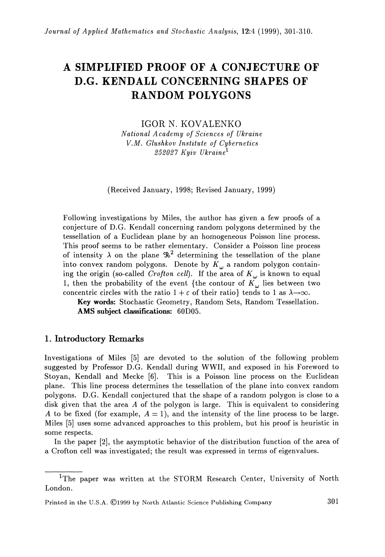# A SIMPLIFIED PROOF OF A CONJECTURE OF D.G. KENDALL CONCERNING SHAPES OF RANDOM POLYGONS

IGOR N. KOVALENKO

National Academy of Sciences of Ukraine V.M. Glushkov Institute of Cybernetics 252027 Kyiv Ukraine<sup>1</sup>

(Received January, 1998; Revised January, 1999)

Following investigations by Miles, the author has given a few proofs of a conjecture of D.G. Kendall concerning random polygons determined by the tessellation of a Euclidean plane by an homogeneous Poisson line process. This proof seems to be rather elementary. Consider a Poisson line process of intensity  $\lambda$  on the plane  $\mathbb{R}^2$  determining the tessellation of the plane into convex random polygons. Denote by  $K_{\omega}$  a random polygon containing the origin (so-called *Crofton cell*). If the area of  $K_{\omega}$  is known to equal 1, then the probability of the event {the contour of  $K_{\omega}$  lies between two concentric circles with the ratio  $1 + \varepsilon$  of their ratio} tends to 1 as  $\lambda \rightarrow \infty$ .

Key words: Stochastic Geometry, Random Sets, Random Tessellation. AMS subject classifications: 60D05.

# 1. Introductory Remarks

Investigations of Miles [5] are devoted to the solution of the following problem suggested by Professor D.G. Kendall during WWII, and exposed in his Foreword to Stoyan, Kendall and Mecke [6]. This is a Poisson line process on the Euclidean plane. This line process determines the tessellation of the plane into convex random polygons. D.G. Kendall conjectured that the shape of a random polygon is close to a disk given that the area  $A$  of the polygon is large. This is equivalent to considering A to be fixed (for example,  $A = 1$ ), and the intensity of the line process to be large. Miles [5] uses some advanced approaches to this problem, but his proof is heuristic in some respects.

In the paper [2], the asymptotic behavior of the distribution function of the area of a Crofton cell was investigated; the result was expressed in terms of eigenvalues.

Printed in the U.S.A. ©1999 by North Atlantic Science Publishing Company 301

<sup>&</sup>lt;sup>1</sup>The paper was written at the STORM Research Center, University of North London.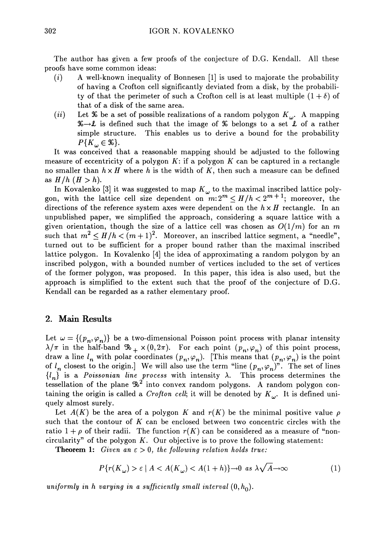The author has given a few proofs of the conjecture of D.G. Kendall. All these proofs have some common ideas:

- (i) A well-known inequality of Bonnesen [1] is used to majorate the probability of having a Crofton cell significantly deviated from a disk, by the probability of that the perimeter of such a Crofton cell is at least multiple  $(1 + \delta)$  of that of a disk of the same area.
- (ii) Let  $\mathfrak K$  be a set of possible realizations of a random polygon  $K_\omega$ . A mapping  $\mathcal{K} \rightarrow \mathcal{L}$  is defined such that the image of  $\mathcal{K}$  belongs to a set  $\mathcal{L}$  of a rather simple structure. This enables us to derive a bound for the probability  $P\{K_{\omega}\in\mathfrak{K}\}.$

It was conceived that a reasonable mapping should be adjusted to the following measure of eccentricity of a polygon  $K$ : if a polygon  $K$  can be captured in a rectangle no smaller than  $h \times H$  where h is the width of K, then such a measure can be defined as  $H/h$   $(H > h)$ .

In Kovalenko [3] it was suggested to map  $K_{\omega}$  to the maximal inscribed lattice polygon, with the lattice cell size dependent on  $m:2^m \n\t\le H/h < 2^{m+1}$ ; moreover, the directions of the reference system axes were dependent on the  $h \times H$  rectangle. In an unpublished paper, we simplified the approach, considering a square lattice with a given orientation, though the size of a lattice cell was chosen as  $O(1/m)$  for an m such that  $m^2 \leq H/h < (m+1)^2$ . Moreover, an inscribed lattice segment, a "needle", turned out to be sufficient for a proper bound rather than the maximal inscribed lattice polygon. In Kovalenko [4] the idea of approximating a random polygon by an inscribed polygon, with a bounded number of vertices included to the set of vertices of the former polygon, was proposed. In this paper, this idea is also used, but the approach is simplified to the extent such that the proof of the conjecture of D.G. Kendall can be regarded as a rather elementary proof.

#### 2. Main Results

Let  $\omega = \{(p_n, \varphi_n)\}\$ be a two-dimensional Poisson point process with planar intensity  $\lambda/\pi$  in the half-band  $\mathcal{R}_+ \times (0,2\pi)$ . For each point  $(p_n,\varphi_n)$  of this point process, draw a line  $l_n$  with polar coordinates  $(p_n, \varphi_n)$ . [This means that  $(p_n, \varphi_n)$  is the point of  $l_n$  closest to the origin.] We will also use the term "line  $(p_n, \varphi_n)$ ". The set of lines  ${l_n}$  is a *Poissonian line process* with intensity  $\lambda$ . This process determines the tessellation of the plane  $\mathbb{R}^2$  into convex random polygons. A random polygon containing the origin is called a *Crofton cell*; it will be denoted by  $K_{\omega}$ . It is defined uniquely almost surely.

Let  $A(K)$  be the area of a polygon K and  $r(K)$  be the minimal positive value  $\rho$ such that the contour of K can be enclosed between two concentric circles with the ratio  $1 + \rho$  of their radii. The function  $r(K)$  can be considered as a measure of "noncircularity" of the polygon  $K$ . Our objective is to prove the following statement:

**Theorem 1:** Given an  $\epsilon > 0$ , the following relation holds true:

$$
P\{r(K_{\omega}) > \varepsilon \mid A < A(K_{\omega}) < A(1+h)\} \to 0 \text{ as } \lambda \sqrt{A} \to \infty
$$
 (1)

uniformly in h varying in a sufficiently small interval  $(0, h_0)$ .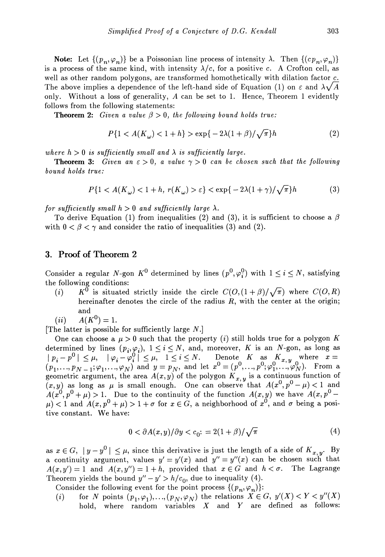**Note:** Let  $\{(p_n, \varphi_n)\}\)$  be a Poissonian line process of intensity  $\lambda$ . Then  $\{(cp_n, \varphi_n)\}$ is a process of the same kind, with intensity  $\lambda/c$ , for a positive c. A Crofton cell, as well as other random polygons, are transformed homothetically with dilation factor c. The above implies a dependence of the left-hand side of Equation (1) on  $\varepsilon$  and  $\lambda \sqrt{A}$ only. Without a loss of generality, A can be set to 1. Hence, Theorem <sup>1</sup> evidently follows from the following statements:

**Theorem 2:** Given a value  $\beta > 0$ , the following bound holds true:

$$
P\{1 < A(K_{\omega}) < 1 + h\} > \exp\{-2\lambda(1+\beta)/\sqrt{\pi}\}h
$$
 (2)

where  $h > 0$  is sufficiently small and  $\lambda$  is sufficiently large.

**Theorem 3:** Given an  $\epsilon > 0$ , a value  $\gamma > 0$  can be chosen such that the following bound holds true:

$$
P\{1 < A(K_{\omega}) < 1 + h, \ r(K_{\omega}) > \varepsilon\} < \exp\{-2\lambda(1+\gamma)/\sqrt{\pi}\}h\tag{3}
$$

for sufficiently small  $h > 0$  and sufficiently large  $\lambda$ .

To derive Equation (1) from inequalities (2) and (3), it is sufficient to choose a  $\beta$ with  $0 < \beta < \gamma$  and consider the ratio of inequalities (3) and (2).

### 3. Proof of Theorem 2

Consider a regular N-gon  $K^0$  determined by lines  $(p^0, \varphi_i^0)$  with  $1 \le i \le N$ , satisfying the following conditions:

- (i)  $K^0$  is situated strictly inside the circle  $C(O,(1+\beta)/\sqrt{\pi})$  where  $C(O,R)$ hereinafter denotes the circle of the radius  $R$ , with the center at the origin; and
- $(ii)$   $A(K^0) = 1.$

[The latter is possible for sufficiently large  $N$ .]

One can choose a  $\mu > 0$  such that the property (i) still holds true for a polygon K determined by lines  $(p_i, \varphi_i)$ ,  $1 \leq i \leq N$ , and, moreover, K is an N-gon, as long as  $|p_i-p^0| \leq \mu, \quad |\varphi_i-\varphi_i^0| \leq \mu, \quad 1 \leq i \leq N.$  Denote K as  $K_{x,y}$  where  $x=(p_1,\ldots,p_{N-1};\varphi_1,\ldots,\varphi_N)$  and  $y=p_N$ , and let  $x^0=(p^0,\ldots,p^0;\varphi_1^0,\ldots,\varphi_N^0)$ . From a geometric argument, the area  $A(x,y)$  of the polygon  $K_{x,y}$ geometric argument, the area  $A(x, y)$  of the polygon  $K_{x, y}$  is a continuous function of  $(x, y)$  as long as  $\mu$  is small enough. One can observe that  $A(x^0, p^0 - \mu) < 1$  and  $A(x^{0}, p^{0} + \mu) > 1$ . Due to the continuity of the function  $A(x, y)$  we have  $A(x, p^{0} - \mu)$  $\mu$   $\geq$  1 and  $A(x, p^0 + \mu) > 1 + \sigma$  for  $x \in G$ , a neighborhood of  $x^0$ , and  $\sigma$  being a positive constant. We have:

$$
0 < \partial A(x, y) / \partial y < c_0 \colon = 2(1 + \beta) / \sqrt{\pi} \tag{4}
$$

as  $x \in G$ ,  $|y-y^0| \leq \mu$ , since this derivative is just the length of a side of  $K_{x,y}$ . By a continuity argument, values  $y' = y'(x)$  and  $y'' = y''(x)$  can be chosen such that  $A(x,y') = 1$  and  $A(x,y'') = 1 + h$ , provided that  $x \in G$  and  $h < \sigma$ . The Lagrange Theorem yields the bound  $y''-y' > h/c_0$ , due to inequality (4).

Consider the following event for the point process  $\{(p_n,\varphi_n)\}\$ :

(i) for N points  $(p_1,\varphi_1),..., (p_N,\varphi_N)$  the relations  $X \in G$ ,  $y'(X) < Y < y''(X)$ hold, where random variables  $X$  and  $Y$  are defined as follows: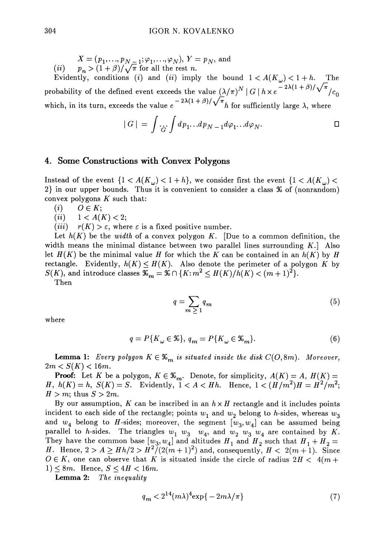$X = (p_1, ..., p_{N-1}; \varphi_1, ..., \varphi_N), Y = p_N$ , and (*ii*)  $p_n > (1 + \beta) / \sqrt{\pi}$  for all the rest *n*.

Evidently, conditions (i) and (ii) imply the bound  $1 < A(K_\omega) < 1 + h$ . The probability of the defined event exceeds the value  $(\lambda/\pi)^N$  | G |  $h \times e^{-2\lambda(1+\beta)/\sqrt{\pi}}/c_0$ which, in its turn, exceeds the value  $e^{-2\lambda(1+\beta)/\sqrt{\pi}}h$  for sufficiently large  $\lambda$ , where

$$
|G| = \int \cdot_G \int dp_1 \dots dp_{N-1} d\varphi_1 \dots d\varphi_N.
$$

# 4. Some Constructions with Convex Polygons

Instead of the event  $\{1 < A(K_\omega) < 1 + h\}$ , we consider first the event  $\{1 < A(K_\omega) <$ 2} in our upper bounds. Thus it is convenient to consider <sup>a</sup> class % of (nonrandom) convex polygons  $K$  such that:

- $(i)$   $O \in K$ ;
- $(ii)$   $1 < A(K) < 2;$
- (*iii*)  $r(K) > \varepsilon$ , where  $\varepsilon$  is a fixed positive number.

Let  $h(K)$  be the width of a convex polygon K. [Due to a common definition, the width means the minimal distance between two parallel lines surrounding  $K$ . Also let  $H(K)$  be the minimal value H for which the K can be contained in an  $h(K)$  by H rectangle. Evidently,  $h(K) \le H(K)$ . Also denote the perimeter of a polygon K by  $S(K)$ , and introduce classes  $\overline{\mathfrak{K}}_m = \mathfrak{K} \cap \{K : m^2 \leq H(K)/h(K) < (m+1)^2\}.$ 

Then

$$
q = \sum_{m \geq 1} q_m \tag{5}
$$

where

$$
q=P\{K_{\omega}\in \mathfrak{X}\},\ q_{m}=P\{K_{\omega}\in \mathfrak{X}_{m}\}.\tag{6}
$$

**Lemma 1:** Every polygon  $K \in \mathcal{K}_m$  is situated inside the disk  $C(O, 8m)$ . Moreover,  $2m < S(K) < 16m$ .

**Proof:** Let K be a polygon,  $K \in \mathcal{K}_m$ . Denote, for simplicity,  $A(K) = A$ ,  $H(K) =$  $H, h(K) = h, S(K) = S.$  Evidently,  $1 < A < Hh.$  Hence,  $1 < (H/m^2)H = H^2/m^2;$  $H>m$ ; thus  $S>2m$ .

By our assumption, K can be inscribed in an  $h \times H$  rectangle and it includes points incident to each side of the rectangle; points  $w_1$  and  $w_2$  belong to h-sides, whereas  $w_3$ and  $w_4$  belong to H-sides; moreover, the segment  $[w_3, w_4]$  can be assumed being parallel to *h*-sides. The triangles  $w_1$   $w_3$   $w_4$ , and  $w_2$   $w_3$   $w_4$  are contained by K. They have the common base  $[w_3, w_4]$  and altitudes  $H_1$  and  $H_2$  such that  $H_1 + H_2$ H. Hence,  $2 > A \geq Hh/2 > H^2/(2(m+1)^2)$  and, consequently,  $H < 2(m+1)$ . Since  $O \in K$ , one can observe that K is situated inside the circle of radius  $2H < 4(m +$ 1)  $\leq 8m$ . Hence,  $S \leq 4H < 16m$ .

Lemma 2: The inequality

$$
q_m < 2^{14} (m\lambda)^4 \exp\{-2m\lambda/\pi\} \tag{7}
$$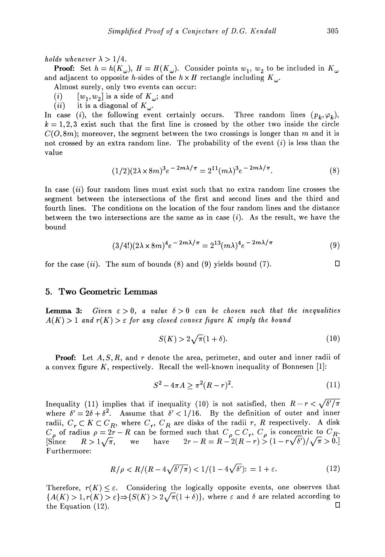holds whenever  $\lambda > 1/4$ .

**Proof:** Set  $h = h(K_{\omega})$ ,  $H = H(K_{\omega})$ . Consider points  $w_1, w_2$  to be included in and adjacent to opposite h-sides of the  $h \times H$  rectangle including  $K_{\omega}$ .

Almost surely, only two events can occur:

- (i)  $[w_1, w_2]$  is a side of  $K_\omega$ ; and
- (*ii*) it is a diagonal of  $K_{\omega}$ .

In case (i), the following event certainly occurs. Three random lines  $(p_k, \varphi_k)$ ,  $k = 1,2,3$  exist such that the first line is crossed by the other two inside the circle  $C(0, 8m)$ ; moreover, the segment between the two crossings is longer than m and it is not crossed by an extra random line. The probability of the event  $(i)$  is less than the value

$$
(1/2)(2\lambda \times 8m)^3 e^{-2m\lambda/\pi} = 2^{11}(m\lambda)^3 e^{-2m\lambda/\pi}.
$$
 (8)

In case  $(ii)$  four random lines must exist such that no extra random line crosses the segment between the intersections of the first and second lines and the third and fourth lines. The conditions on the location of the four random lines and the distance between the two intersections are the same as in case  $(i)$ . As the result, we have the bound

$$
(3/4!)(2\lambda \times 8m)^4 e^{-2m\lambda/\pi} = 2^{13}(m\lambda)^4 e^{-2m\lambda/\pi}
$$
 (9)

for the case  $(ii)$ . The sum of bounds  $(8)$  and  $(9)$  yields bound  $(7)$ .

# 5. Two Geometric Lemmas

**Lemma 3:** Given  $\epsilon > 0$ , a value  $\delta > 0$  can be chosen such that the inequalities  $A(K) > 1$  and  $r(K) > \varepsilon$  for any closed convex figure K imply the bound

$$
S(K) > 2\sqrt{\pi}(1+\delta). \tag{10}
$$

**Proof:** Let  $A, S, R$ , and r denote the area, perimeter, and outer and inner radii of a convex figure K, respectively. Recall the well-known inequality of Bonnesen  $[1]$ :

$$
S^2 - 4\pi A \ge \pi^2 (R - r)^2. \tag{11}
$$

Inequality (11) implies that if inequality (10) is not satisfied, then  $R-r < \sqrt{\delta'/\pi}$ where  $\delta' = 2\delta + \delta^2$ . Assume that  $\delta' < 1/16$ . By the definition of outer and inner radii,  $C_r \subset K \subset C_R$ , where  $C_r$ ,  $C_R$  are disks of the radii r, R respectively. A disk  $C_{\rho}$  of radius  $\rho = 2r - R$  can be formed such that  $C_{\rho} \subset C_r$ ,  $C_{\rho}$  is concentric to  $C_R$ . [Since  $R > 1\sqrt{\pi}$ , we have  $2r - R = R - 2(R-r) > (1 - r\sqrt{\delta'})/\sqrt{\pi} > 0.$ ] Furthermore:

$$
R/\rho < R/(R - 4\sqrt{\delta'/\pi}) < 1/(1 - 4\sqrt{\delta'}) \colon = 1 + \varepsilon. \tag{12}
$$

Therefore,  $r(K) \leq \varepsilon$ . Considering the logically opposite events, one observes that  ${A(K) > 1, r(K) > \varepsilon} \Rightarrow {S(K) > 2\sqrt{\pi}(1 + \delta)},$  where  $\varepsilon$  and  $\delta$  are related according to Ω the Equation (12).

Ω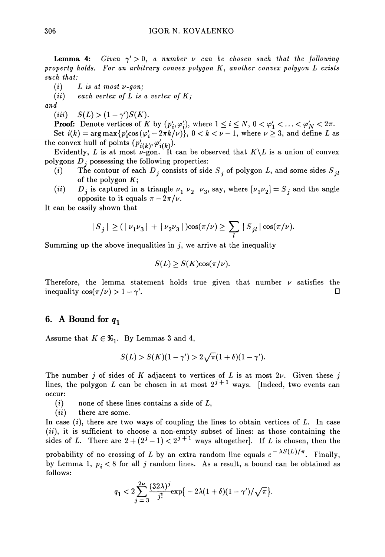**Lemma 4:** Given  $\gamma' > 0$ , a number  $\nu$  can be chosen such that the following property holds. For an arbitrary convex polygon K, another convex polygon L exists such that:

 $(i)$  L is at most  $\nu$ -gon;

(*ii*) each vertex of  $L$  is a vertex of  $K$ ;

and

(*iii*)  $S(L) > (1 - \gamma')S(K)$ .

**Proof:** Denote vertices of K by  $(p'_i, \varphi'_i)$ , where  $1 \leq i \leq N$ ,  $0 < \varphi'_1 < \ldots < \varphi'_N < 2\pi$ . Set  $i(k) = \arg \max\{p'_i \cos (\varphi'_i - 2\pi k/\nu) \}, 0 < k < \nu - 1$ , where  $\nu \geq 3$ , and define L as the convex hull of points  $(p'_{i(k)}, \varphi'_{i(k)})$ .

Evidently, L is at most  $\nu$ -gon. It can be observed that  $K\backslash L$  is a union of convex polygons  $D_j$  possessing the following properties:

- (i) The contour of each  $D_i$  consists of side  $S_i$  of polygon L, and some sides  $S_{il}$ of the polygon  $K$ ;
- (ii)  $D_i$  is captured in a triangle  $\nu_1 \nu_2 \nu_3$ , say, where  $[\nu_1 \nu_2] = S_i$  and the angle opposite to it equals  $\pi-2\pi/\nu$ .

It can be easily shown that

$$
|S_j| \geq (|\nu_1 \nu_3| + |\nu_2 \nu_3|) \cos(\pi/\nu) \geq \sum_l |S_{jl}| \cos(\pi/\nu).
$$
  
the above inequalities in *j*, we arrive at the inequality

Summing up the above inequalities in  $j$ , we arrive at the inequality

$$
S(L) \geq S(K)\cos(\pi/\nu).
$$

Therefore, the lemma statement holds true given that number  $\nu$  satisfies the inequality  $\cos(\pi/\nu) > 1 - \gamma'$ . П

## 6. A Bound for  $q_1$

Assume that  $K \in \mathcal{K}_1$ . By Lemmas 3 and 4,

$$
S(L) > S(K)(1 - \gamma') > 2\sqrt{\pi}(1 + \delta)(1 - \gamma').
$$

The number j of sides of K adjacent to vertices of L is at most  $2\nu$ . Given these j lines, the polygon L can be chosen in at most  $2^{j+1}$  ways. [Indeed, two events can occur:

 $(i)$  none of these lines contains a side of L,

 $(ii)$  there are some.

In case  $(i)$ , there are two ways of coupling the lines to obtain vertices of  $L$ . In case  $(ii)$ , it is sufficient to choose a non-empty subset of lines: as those containing the sides of L. There are  $2+(2^{j}-1) < 2^{j+1}$  ways altogether]. If L is chosen, then the probability of no crossing of L by an extra random line equals  $e^{-\lambda S(L)/\pi}$ . Finally, by Lemma 1,  $p_i < 8$  for all j random lines. As a result, a bound can be obtained as follows:

$$
q_1 < 2\sum_{j=3}^{2\nu} \frac{(32\lambda)^j}{j!} \exp\{-2\lambda(1+\delta)(1-\gamma')/\sqrt{\pi}\}.
$$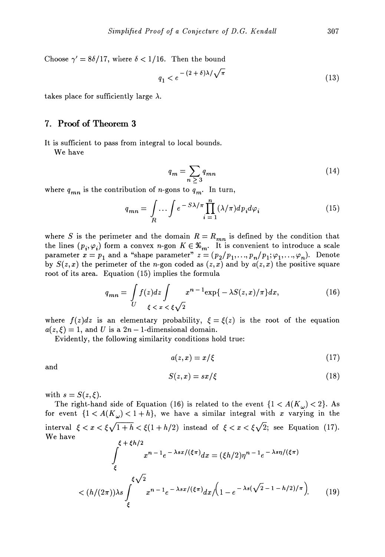Choose  $\gamma' = 8\delta/17$ , where  $\delta < 1/16$ . Then the bound

$$
q_1 < e^{-\left(2+\delta\right)\lambda/\sqrt{\pi}}\tag{13}
$$

takes place for sufficiently large  $\lambda$ .

# 7. Proof of Theorem 3

It is sufficient to pass from integral to local bounds.

We have

$$
q_m = \sum_{n \ge 3} q_{mn} \tag{14}
$$

where  $q_{mn}$  is the contribution of *n*-gons to  $q_m$ . In turn,

$$
q_{mn} = \int_{R} \dots \int e^{-S\lambda/\pi} \prod_{i=1}^{n} (\lambda/\pi) dp_i d\varphi_i
$$
 (15)

where S is the perimeter and the domain  $R = R_{mn}$  is defined by the condition that the lines  $(p_i, \varphi_i)$  form a convex *n*-gon  $K \in \mathcal{K}_m$ . It is convenient to introduce a scale parameter  $x = p_1$  and a "shape parameter"  $z = (p_2/p_1, ..., p_n/p_1; \varphi_1, ..., \varphi_n)$ . Denote by  $S(z, x)$  the perimeter of the n-gon coded as  $(z, x)$  and by  $a(z, x)$  the positive square root of its area. Equation (15) implies the formula

$$
q_{mn} = \int\limits_{U} f(z)dz \int\limits_{\xi < x < \xi\sqrt{2}} x^{n-1} \exp\{-\lambda S(z, x) / \pi\} dx,\tag{16}
$$

where  $f(z)dz$  is an elementary probability,  $\xi = \xi(z)$  is the root of the equation  $a(z, \xi) = 1$ , and U is a  $2n - 1$ -dimensional domain.

Evidently, the following similarity conditions hold true:

$$
a(z,x) = x/\xi \tag{17}
$$

and

$$
S(z,x) = sx/\xi \tag{18}
$$

with  $s = S(z, \xi)$ .

The right-hand side of Equation (16) is related to the event  $\{1 < A(K_{\omega}) < 2\}$ . As for event  $\{1 < A(K_\omega) < 1 + h\}$ , we have a similar integral with x varying in the interval  $\xi < x < \xi \sqrt{1+h} < \xi(1+h/2)$  instead of  $\xi < x < \xi \sqrt{2}$ ; see Equation (17). We have

$$
\int_{\xi}^{\xi + \xi h/2} x^{n-1} e^{-\lambda s x/(\xi \pi)} dx = (\xi h/2) \eta^{n-1} e^{-\lambda s \eta/(\xi \pi)}
$$

$$
\leq (h/(2\pi)) \lambda s \int_{\xi}^{\xi \sqrt{2}} x^{n-1} e^{-\lambda s x/(\xi \pi)} dx / (1 - e^{-\lambda s (\sqrt{2} - 1 - h/2)/\pi}). \tag{19}
$$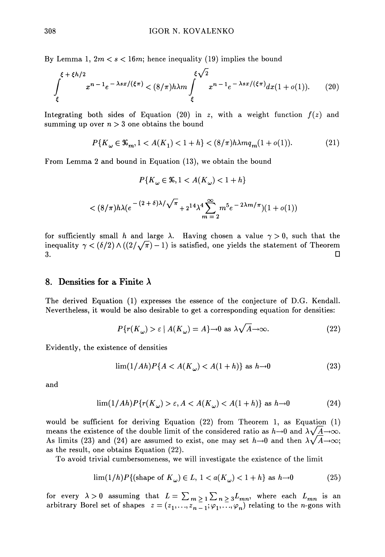By Lemma 1,  $2m < s < 16m$ ; hence inequality (19) implies the bound

$$
\int_{\xi}^{\xi + \xi h/2} x^{n-1} e^{-\lambda s x/(\xi \pi)} < (8/\pi) h\lambda m \int_{\xi}^{\xi \sqrt{2}} x^{n-1} e^{-\lambda s x/(\xi \pi)} dx (1 + o(1)). \tag{20}
$$

Integrating both sides of Equation (20) in z, with a weight function  $f(z)$  and summing up over  $n > 3$  one obtains the bound

$$
P\{K_{\omega} \in \mathfrak{K}_{m}, 1 < A(K_{1}) < 1 + h\} < (8/\pi)h\lambda m q_{m}(1 + o(1)).
$$
\n(21)

From Lemma <sup>2</sup> and bound in Equation (13), we obtain the bound

$$
P\{K_{\omega}\in\mathfrak{K},1< A(K_{\omega})<1+h\}
$$

$$
\langle (8/\pi)h\lambda(e^{-(2+\delta)\lambda/\sqrt{\pi}}+2^{14}\lambda^4\sum_{m=2}^{\infty}m^5e^{-2\lambda m/\pi})(1+o(1))
$$

for sufficiently small h and large  $\lambda$ . Having chosen a value  $\gamma > 0$ , such that the inequality  $\gamma < (\delta/2) \wedge ((2/\sqrt{\pi})-1)$  is satisfied, one yields the statement of Theorem 3. О

#### 8. Densities for a Finite  $\lambda$

The derived Equation (1) expresses the essence of the conjecture of D.G. Kendall. Nevertheless, it would be also desirable to get a corresponding equation for densities:

$$
P\{r(K_{\omega}) > \varepsilon \mid A(K_{\omega}) = A\} \to 0 \text{ as } \lambda \sqrt{A} \to \infty. \tag{22}
$$

Evidently, the existence of densities

$$
\lim(1/Ah)P\{A < A(K_{\omega}) < A(1+h)\} \text{ as } h \to 0 \tag{23}
$$

and

$$
\lim(1/Ah)P\{r(K_\omega) > \varepsilon, A < A(K_\omega) < A(1+h)\} \text{ as } h \to 0 \tag{24}
$$

would be sufficient for deriving Equation (22) from Theorem 1, as Equation (1) means the existence of the double limit of the considered ratio as  $h\rightarrow 0$  and  $\lambda\sqrt{A}\rightarrow\infty$ . As limits (23) and (24) are assumed to exist, one may set  $h\rightarrow 0$  and then  $\lambda\sqrt{A}\rightarrow\infty$ ; as the result, one obtains Equation (22).

To avoid trivial cumbersomeness, we will investigate the existence of the limit

$$
\lim(1/h)P\{(\text{shape of } K_{\omega}) \in L, 1 < a(K_{\omega}) < 1 + h\} \text{ as } h \to 0 \tag{25}
$$

for every  $\lambda > 0$  assuming that  $L = \sum_{m \geq 1} \sum_{n \geq 3} L_{mn}$ , where each  $L_{mn}$  is an arbitrary Borel set of shapes  $z = (z_1, ..., z_{n-1}; \varphi_1, ..., \varphi_n)$  relating to the n-gons with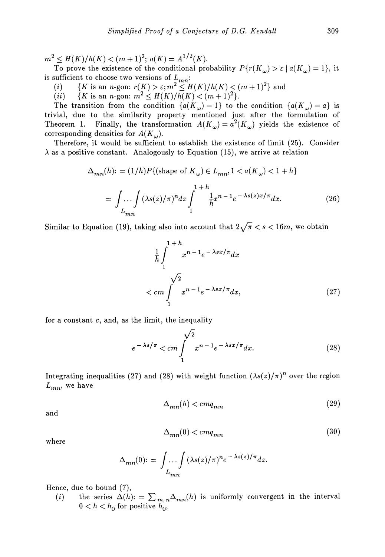$m^2 \le H(K)/h(K) < (m+1)^2$ ;  $a(K) = A^{1/2}(K)$ .

To prove the existence of the conditional probability  $P\{r(K_{\omega})>\varepsilon \mid a(K_{\omega})=1\}$ , it is sufficient to choose two versions of  $L_{mn}$ :

- (i) {K is an n-gon:  $r(K) > \varepsilon$ ;  $m^2 \leq H(K)/h(K) < (m+1)^2$ } and
- (*ii*) {K is an n-gon:  $m^2 \leq H(K)/h(K) < (m+1)^2$ }.

The transition from the condition  $\{a(K_{\omega})=1\}$  to the condition  $\{a(K_{\omega})=a\}$  is trivial, due to the similarity property mentioned just after the formulation of Theorem 1. Finally, the transformation  $A(K_\omega) = a^2(K_\omega)$  yields the existence of corresponding densities for  $A(K_\omega)$ .

Therefore, it would be sufficient to establish the existence of limit (25). Consider  $\lambda$  as a positive constant. Analogously to Equation (15), we arrive at relation

$$
\Delta_{mn}(h) := (1/h)P\{(\text{shape of } K_{\omega}) \in L_{mn}, 1 < a(K_{\omega}) < 1 + h\}
$$

$$
= \int \dots \int (\lambda s(z)/\pi)^n dz \int_1^1 \frac{1}{h} x^{n-1} e^{-\lambda s(z)x/\pi} dx. \tag{26}
$$

Similar to Equation (19), taking also into account that  $2\sqrt{\pi} < s < 16m$ , we obtain

$$
\frac{1}{h} \int_{1}^{1+h} x^{n-1} e^{-\lambda sx/\pi} dx
$$
  

$$
< cm \int_{1}^{\sqrt{2}} x^{n-1} e^{-\lambda sx/\pi} dx,
$$
 (27)

for a constant  $c$ , and, as the limit, the inequality

$$
e^{-\lambda s/\pi} < cm \int\limits_{1}^{\sqrt{2}} x^{n-1} e^{-\lambda s x/\pi} dx. \tag{28}
$$

Integrating inequalities (27) and (28) with weight function  $(\lambda s(z)/\pi)^n$  over the region  $L_{mn}$ , we have

$$
\Delta_{mn}(h) < c m q_{mn} \tag{29}
$$

and

where

$$
\Delta_{mn}(0) < c m q_{mn} \tag{30}
$$

$$
\Delta_{mn}(0) := \int \dots \int (\lambda s(z)/\pi)^n e^{-\lambda s(z)/\pi} dz.
$$

Hence, due to bound (7),

the series  $\Delta(h) = \sum_{m,n} \Delta_{mn}(h)$  is uniformly convergent in the interval  $(i)$  $0 < h < h_{0}$  for positive  $h_{0}$ ,